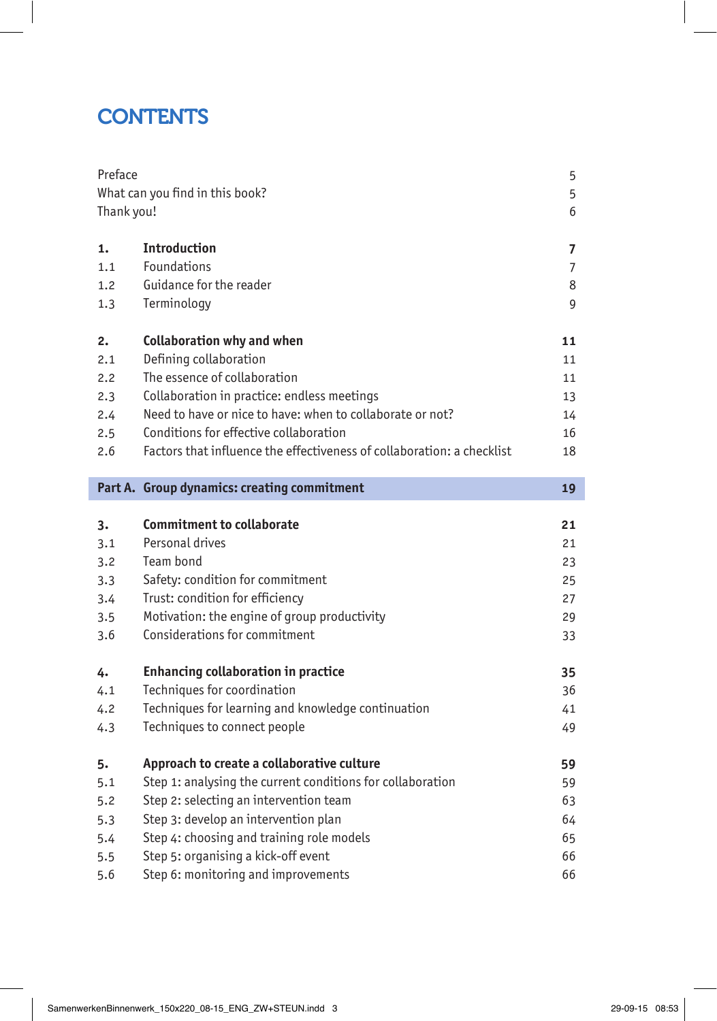# **CONTENTS**

| Preface                         |                                                                        | 5  |
|---------------------------------|------------------------------------------------------------------------|----|
| What can you find in this book? |                                                                        | 5  |
| Thank you!                      |                                                                        | 6  |
|                                 |                                                                        |    |
| 1.                              | <b>Introduction</b>                                                    | 7  |
| 1.1                             | Foundations                                                            | 7  |
| 1.2                             | Guidance for the reader                                                | 8  |
| 1.3                             | Terminology                                                            | 9  |
| 2.                              | <b>Collaboration why and when</b>                                      | 11 |
| 2.1                             | Defining collaboration                                                 | 11 |
| 2.2                             | The essence of collaboration                                           | 11 |
| 2.3                             | Collaboration in practice: endless meetings                            | 13 |
| 2.4                             | Need to have or nice to have: when to collaborate or not?              | 14 |
| 2.5                             | Conditions for effective collaboration                                 | 16 |
| 2.6                             | Factors that influence the effectiveness of collaboration: a checklist | 18 |
|                                 |                                                                        |    |
|                                 | Part A. Group dynamics: creating commitment                            | 19 |
|                                 | <b>Commitment to collaborate</b>                                       |    |
| 3.                              | Personal drives                                                        | 21 |
| 3.1                             | Team bond                                                              | 21 |
| 3.2                             |                                                                        | 23 |
| 3.3                             | Safety: condition for commitment                                       | 25 |
| 3.4                             | Trust: condition for efficiency                                        | 27 |
| 3.5                             | Motivation: the engine of group productivity                           | 29 |
| 3.6                             | Considerations for commitment                                          | 33 |
| 4.                              | <b>Enhancing collaboration in practice</b>                             | 35 |
| 4.1                             | Techniques for coordination                                            | 36 |
| 4.2                             | Techniques for learning and knowledge continuation                     | 41 |
| 4.3                             | Techniques to connect people                                           | 49 |
| 5.                              | Approach to create a collaborative culture                             | 59 |
| 5.1                             | Step 1: analysing the current conditions for collaboration             | 59 |
| 5.2                             | Step 2: selecting an intervention team                                 | 63 |
| 5.3                             | Step 3: develop an intervention plan                                   | 64 |
| 5.4                             | Step 4: choosing and training role models                              | 65 |
| 5.5                             | Step 5: organising a kick-off event                                    | 66 |
| 5.6                             | Step 6: monitoring and improvements                                    | 66 |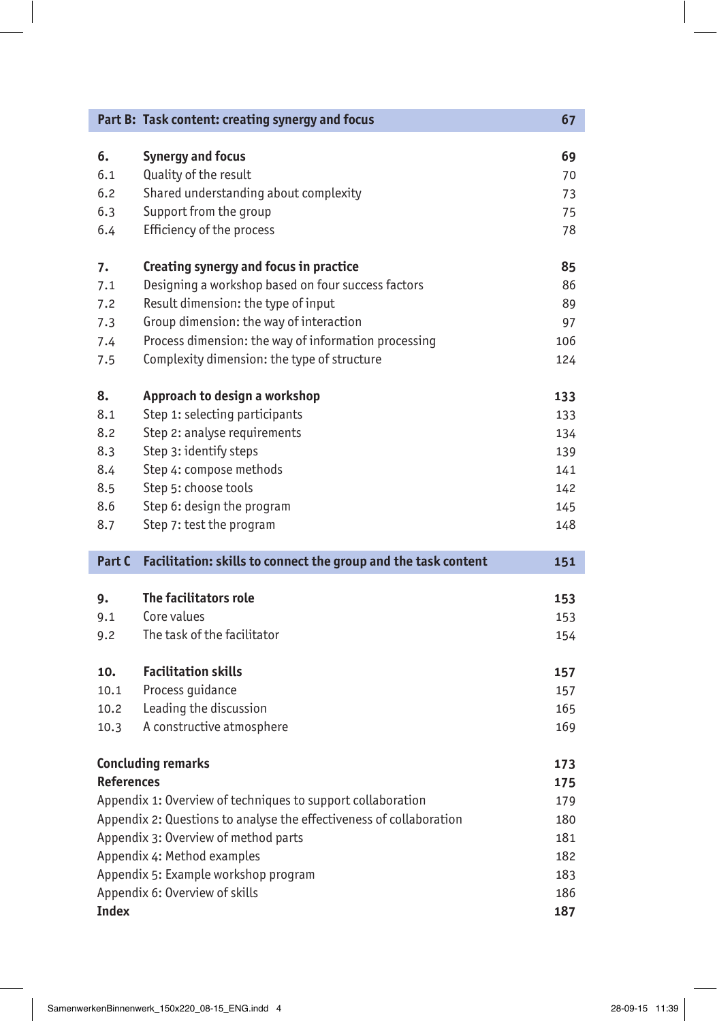|                   | Part B: Task content: creating synergy and focus                    | 67         |
|-------------------|---------------------------------------------------------------------|------------|
| 6.                | <b>Synergy and focus</b>                                            | 69         |
| 6.1               | Quality of the result                                               | 70         |
| 6.2               | Shared understanding about complexity                               | 73         |
| 6.3               | Support from the group                                              | 75         |
| 6.4               | Efficiency of the process                                           | 78         |
| 7.                | Creating synergy and focus in practice                              | 85         |
| 7.1               | Designing a workshop based on four success factors                  | 86         |
| 7.2               | Result dimension: the type of input                                 | 89         |
| 7.3               | Group dimension: the way of interaction                             | 97         |
| 7.4               | Process dimension: the way of information processing                | 106        |
| 7.5               | Complexity dimension: the type of structure                         | 124        |
| 8.                | Approach to design a workshop                                       | 133        |
| 8.1               | Step 1: selecting participants                                      | 133        |
| 8.2               | Step 2: analyse requirements                                        | 134        |
| 8.3               | Step 3: identify steps                                              | 139        |
| 8.4               | Step 4: compose methods                                             | 141        |
| 8.5               | Step 5: choose tools                                                | 142        |
| 8.6               | Step 6: design the program                                          | 145        |
| 8.7               | Step 7: test the program                                            | 148        |
| Part C            | Facilitation: skills to connect the group and the task content      | 151        |
|                   | The facilitators role                                               |            |
| 9.<br>9.1         | Core values                                                         | 153        |
| 9.2               | The task of the facilitator                                         | 153<br>154 |
|                   |                                                                     |            |
| 10.               |                                                                     |            |
|                   | <b>Facilitation skills</b>                                          | 157        |
| 10.1              | Process guidance                                                    | 157        |
| 10.2              | Leading the discussion                                              | 165        |
| 10.3              | A constructive atmosphere                                           | 169        |
|                   | <b>Concluding remarks</b>                                           | 173        |
| <b>References</b> |                                                                     | 175        |
|                   | Appendix 1: Overview of techniques to support collaboration         | 179        |
|                   | Appendix 2: Questions to analyse the effectiveness of collaboration | 180        |
|                   | Appendix 3: Overview of method parts                                | 181        |
|                   | Appendix 4: Method examples                                         | 182        |
|                   | Appendix 5: Example workshop program                                | 183        |
| <b>Index</b>      | Appendix 6: Overview of skills                                      | 186        |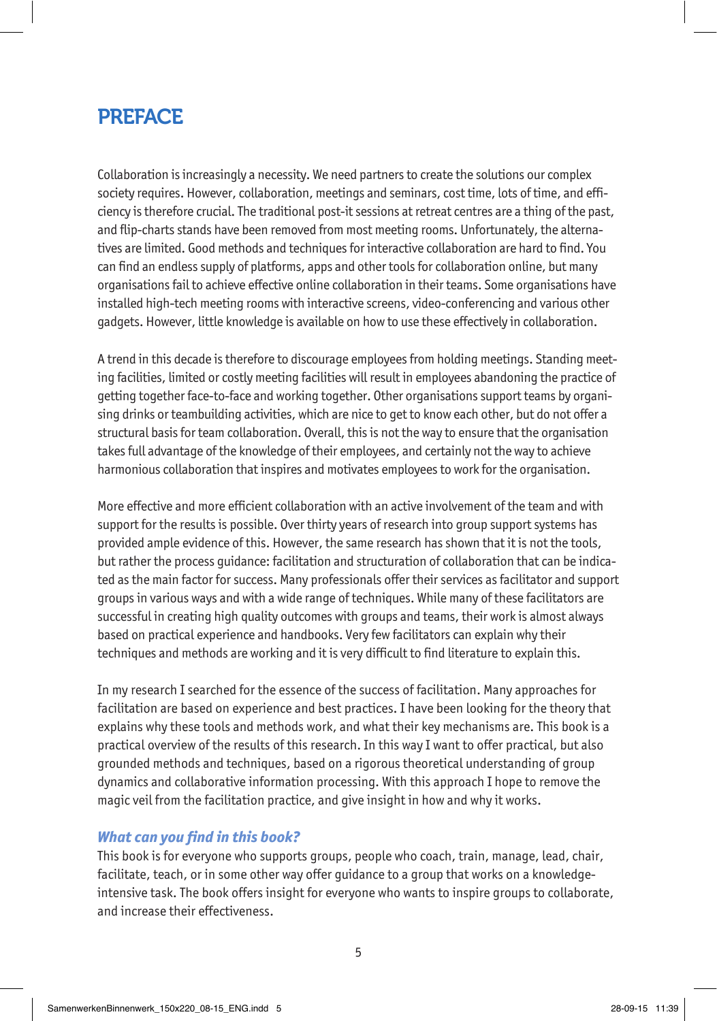# PREFACE

Collaboration is increasingly a necessity. We need partners to create the solutions our complex society requires. However, collaboration, meetings and seminars, cost time, lots of time, and efficiency is therefore crucial. The traditional post-it sessions at retreat centres are a thing of the past, and flip-charts stands have been removed from most meeting rooms. Unfortunately, the alternatives are limited. Good methods and techniques for interactive collaboration are hard to find. You can find an endless supply of platforms, apps and other tools for collaboration online, but many organisations fail to achieve effective online collaboration in their teams. Some organisations have installed high-tech meeting rooms with interactive screens, video-conferencing and various other gadgets. However, little knowledge is available on how to use these effectively in collaboration.

A trend in this decade is therefore to discourage employees from holding meetings. Standing meeting facilities, limited or costly meeting facilities will result in employees abandoning the practice of getting together face-to-face and working together. Other organisations support teams by organising drinks or teambuilding activities, which are nice to get to know each other, but do not offer a structural basis for team collaboration. Overall, this is not the way to ensure that the organisation takes full advantage of the knowledge of their employees, and certainly not the way to achieve harmonious collaboration that inspires and motivates employees to work for the organisation.

More effective and more efficient collaboration with an active involvement of the team and with support for the results is possible. Over thirty years of research into group support systems has provided ample evidence of this. However, the same research has shown that it is not the tools, but rather the process guidance: facilitation and structuration of collaboration that can be indicated as the main factor for success. Many professionals offer their services as facilitator and support groups in various ways and with a wide range of techniques. While many of these facilitators are successful in creating high quality outcomes with groups and teams, their work is almost always based on practical experience and handbooks. Very few facilitators can explain why their techniques and methods are working and it is very difficult to find literature to explain this.

In my research I searched for the essence of the success of facilitation. Many approaches for facilitation are based on experience and best practices. I have been looking for the theory that explains why these tools and methods work, and what their key mechanisms are. This book is a practical overview of the results of this research. In this way I want to offer practical, but also grounded methods and techniques, based on a rigorous theoretical understanding of group dynamics and collaborative information processing. With this approach I hope to remove the magic veil from the facilitation practice, and give insight in how and why it works.

#### *What can you find in this book?*

This book is for everyone who supports groups, people who coach, train, manage, lead, chair, facilitate, teach, or in some other way offer guidance to a group that works on a knowledgeintensive task. The book offers insight for everyone who wants to inspire groups to collaborate, and increase their effectiveness.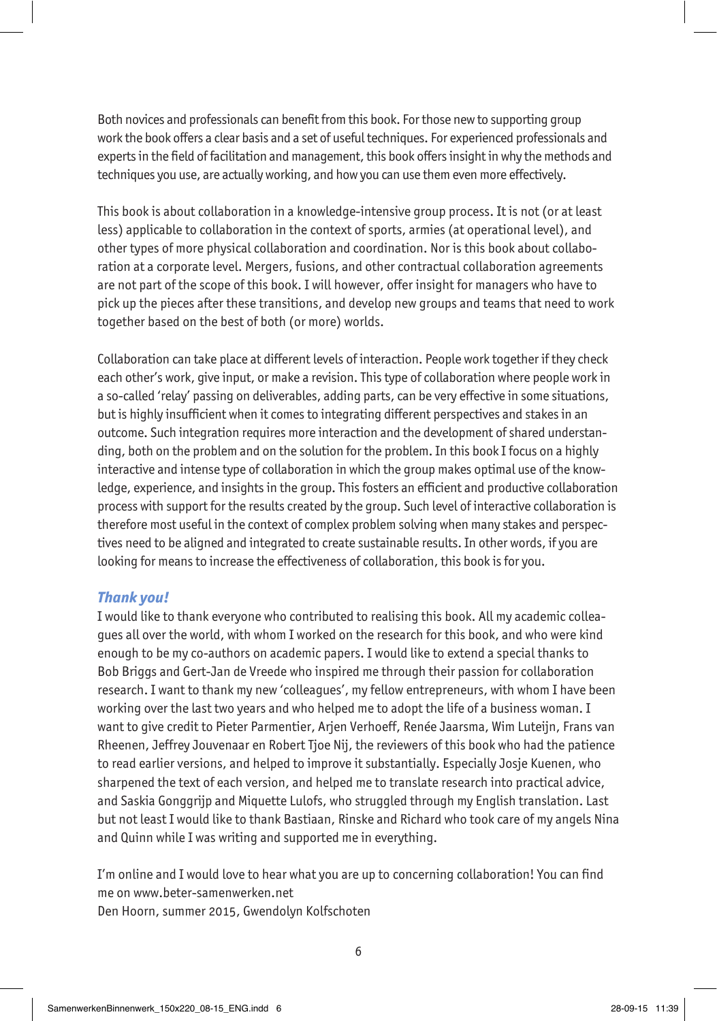Both novices and professionals can benefit from this book. For those new to supporting group work the book offers a clear basis and a set of useful techniques. For experienced professionals and experts in the field of facilitation and management, this book offers insight in why the methods and techniques you use, are actually working, and how you can use them even more effectively.

This book is about collaboration in a knowledge-intensive group process. It is not (or at least less) applicable to collaboration in the context of sports, armies (at operational level), and other types of more physical collaboration and coordination. Nor is this book about collaboration at a corporate level. Mergers, fusions, and other contractual collaboration agreements are not part of the scope of this book. I will however, offer insight for managers who have to pick up the pieces after these transitions, and develop new groups and teams that need to work together based on the best of both (or more) worlds.

Collaboration can take place at different levels of interaction. People work together if they check each other's work, give input, or make a revision. This type of collaboration where people work in a so-called 'relay' passing on deliverables, adding parts, can be very effective in some situations, but is highly insufficient when it comes to integrating different perspectives and stakes in an outcome. Such integration requires more interaction and the development of shared understanding, both on the problem and on the solution for the problem. In this book I focus on a highly interactive and intense type of collaboration in which the group makes optimal use of the knowledge, experience, and insights in the group. This fosters an efficient and productive collaboration process with support for the results created by the group. Such level of interactive collaboration is therefore most useful in the context of complex problem solving when many stakes and perspectives need to be aligned and integrated to create sustainable results. In other words, if you are looking for means to increase the effectiveness of collaboration, this book is for you.

#### *Thank you!*

I would like to thank everyone who contributed to realising this book. All my academic colleagues all over the world, with whom I worked on the research for this book, and who were kind enough to be my co-authors on academic papers. I would like to extend a special thanks to Bob Briggs and Gert-Jan de Vreede who inspired me through their passion for collaboration research. I want to thank my new 'colleagues', my fellow entrepreneurs, with whom I have been working over the last two years and who helped me to adopt the life of a business woman. I want to give credit to Pieter Parmentier, Arjen Verhoeff, Renée Jaarsma, Wim Luteijn, Frans van Rheenen, Jeffrey Jouvenaar en Robert Tjoe Nij, the reviewers of this book who had the patience to read earlier versions, and helped to improve it substantially. Especially Josje Kuenen, who sharpened the text of each version, and helped me to translate research into practical advice, and Saskia Gonggrijp and Miquette Lulofs, who struggled through my English translation. Last but not least I would like to thank Bastiaan, Rinske and Richard who took care of my angels Nina and Quinn while I was writing and supported me in everything.

I'm online and I would love to hear what you are up to concerning collaboration! You can find me on www.beter-samenwerken.net

Den Hoorn, summer 2015, Gwendolyn Kolfschoten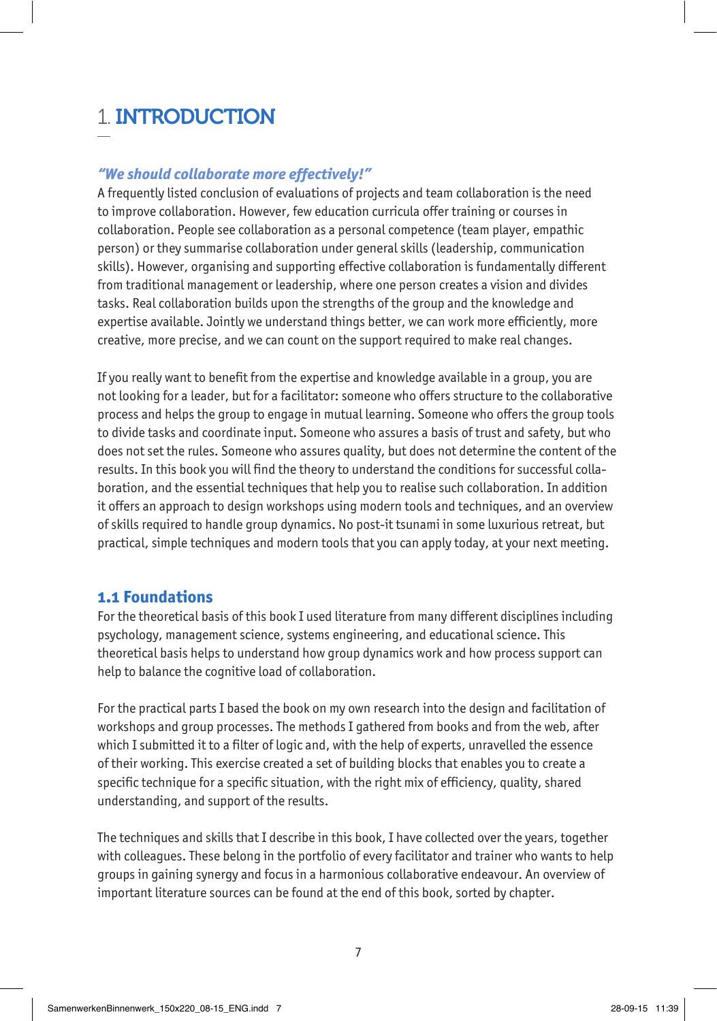# 1. INTRODUCTION

#### *"We should collaborate more effectively!"*

A frequently listed conclusion of evaluations of projects and team collaboration is the need to improve collaboration. However, few education curricula offer training or courses in collaboration. People see collaboration as a personal competence (team player, empathic person) or they summarise collaboration under general skills (leadership, communication skills). However, organising and supporting effective collaboration is fundamentally different from traditional management or leadership, where one person creates a vision and divides tasks. Real collaboration builds upon the strengths of the group and the knowledge and expertise available. Jointly we understand things better, we can work more efficiently, more creative, more precise, and we can count on the support required to make real changes.

If you really want to benefit from the expertise and knowledge available in a group, you are not looking for a leader, but for a facilitator: someone who offers structure to the collaborative process and helps the group to engage in mutual learning. Someone who offers the group tools to divide tasks and coordinate input. Someone who assures a basis of trust and safety, but who does not set the rules. Someone who assures quality, but does not determine the content of the results. In this book you will find the theory to understand the conditions for successful collaboration, and the essential techniques that help you to realise such collaboration. In addition it offers an approach to design workshops using modern tools and techniques, and an overview of skills required to handle group dynamics. No post-it tsunami in some luxurious retreat, but practical, simple techniques and modern tools that you can apply today, at your next meeting.

#### **1.1 Foundations**

For the theoretical basis of this book I used literature from many different disciplines including psychology, management science, systems engineering, and educational science. This theoretical basis helps to understand how group dynamics work and how process support can help to balance the cognitive load of collaboration.

For the practical parts I based the book on my own research into the design and facilitation of workshops and group processes. The methods I gathered from books and from the web, after which I submitted it to a filter of logic and, with the help of experts, unravelled the essence of their working. This exercise created a set of building blocks that enables you to create a specific technique for a specific situation, with the right mix of efficiency, quality, shared understanding, and support of the results.

The techniques and skills that I describe in this book, I have collected over the years, together with colleagues. These belong in the portfolio of every facilitator and trainer who wants to help groups in gaining synergy and focus in a harmonious collaborative endeavour. An overview of important literature sources can be found at the end of this book, sorted by chapter.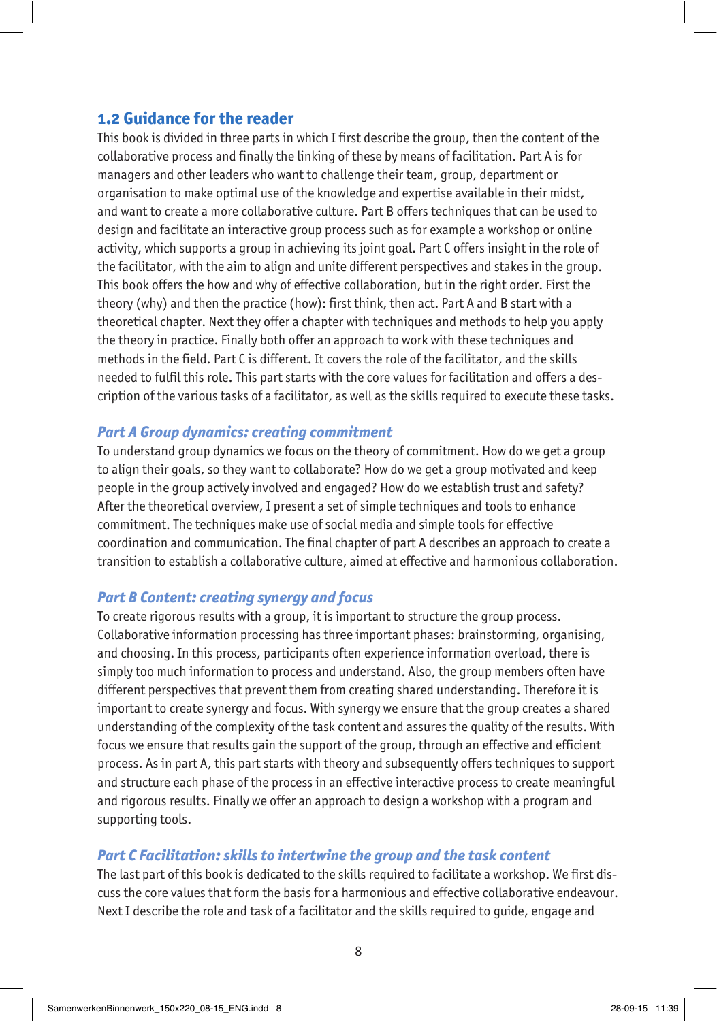# **1.2 Guidance for the reader**

This book is divided in three parts in which I first describe the group, then the content of the collaborative process and finally the linking of these by means of facilitation. Part A is for managers and other leaders who want to challenge their team, group, department or organisation to make optimal use of the knowledge and expertise available in their midst, and want to create a more collaborative culture. Part B offers techniques that can be used to design and facilitate an interactive group process such as for example a workshop or online activity, which supports a group in achieving its joint goal. Part C offers insight in the role of the facilitator, with the aim to align and unite different perspectives and stakes in the group. This book offers the how and why of effective collaboration, but in the right order. First the theory (why) and then the practice (how): first think, then act. Part A and B start with a theoretical chapter. Next they offer a chapter with techniques and methods to help you apply the theory in practice. Finally both offer an approach to work with these techniques and methods in the field. Part C is different. It covers the role of the facilitator, and the skills needed to fulfil this role. This part starts with the core values for facilitation and offers a description of the various tasks of a facilitator, as well as the skills required to execute these tasks.

#### *Part A Group dynamics: creating commitment*

To understand group dynamics we focus on the theory of commitment. How do we get a group to align their goals, so they want to collaborate? How do we get a group motivated and keep people in the group actively involved and engaged? How do we establish trust and safety? After the theoretical overview, I present a set of simple techniques and tools to enhance commitment. The techniques make use of social media and simple tools for effective coordination and communication. The final chapter of part A describes an approach to create a transition to establish a collaborative culture, aimed at effective and harmonious collaboration.

#### *Part B Content: creating synergy and focus*

To create rigorous results with a group, it is important to structure the group process. Collaborative information processing has three important phases: brainstorming, organising, and choosing. In this process, participants often experience information overload, there is simply too much information to process and understand. Also, the group members often have different perspectives that prevent them from creating shared understanding. Therefore it is important to create synergy and focus. With synergy we ensure that the group creates a shared understanding of the complexity of the task content and assures the quality of the results. With focus we ensure that results gain the support of the group, through an effective and efficient process. As in part A, this part starts with theory and subsequently offers techniques to support and structure each phase of the process in an effective interactive process to create meaningful and rigorous results. Finally we offer an approach to design a workshop with a program and supporting tools.

#### *Part C Facilitation: skills to intertwine the group and the task content*

The last part of this book is dedicated to the skills required to facilitate a workshop. We first discuss the core values that form the basis for a harmonious and effective collaborative endeavour. Next I describe the role and task of a facilitator and the skills required to guide, engage and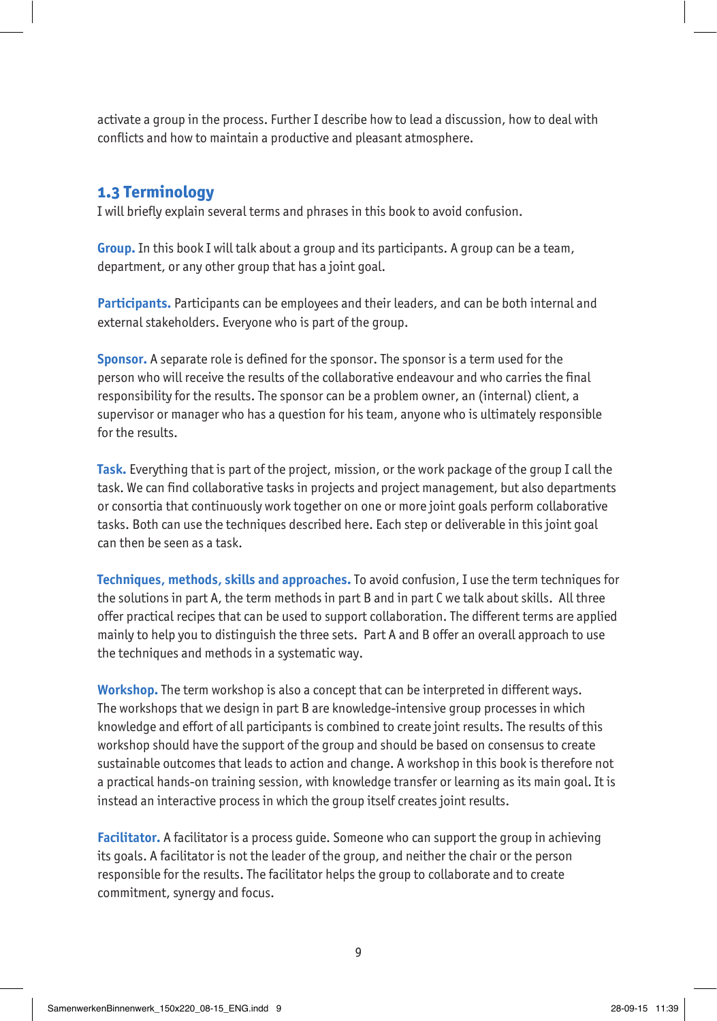activate a group in the process. Further I describe how to lead a discussion, how to deal with conflicts and how to maintain a productive and pleasant atmosphere.

### **1.3 Terminology**

I will briefly explain several terms and phrases in this book to avoid confusion.

**Group.** In this book I will talk about a group and its participants. A group can be a team, department, or any other group that has a joint goal.

**Participants.** Participants can be employees and their leaders, and can be both internal and external stakeholders. Everyone who is part of the group.

**Sponsor.** A separate role is defined for the sponsor. The sponsor is a term used for the person who will receive the results of the collaborative endeavour and who carries the final responsibility for the results. The sponsor can be a problem owner, an (internal) client, a supervisor or manager who has a question for his team, anyone who is ultimately responsible for the results.

**Task.** Everything that is part of the project, mission, or the work package of the group I call the task. We can find collaborative tasks in projects and project management, but also departments or consortia that continuously work together on one or more joint goals perform collaborative tasks. Both can use the techniques described here. Each step or deliverable in this joint goal can then be seen as a task.

**Techniques, methods, skills and approaches.** To avoid confusion, I use the term techniques for the solutions in part A, the term methods in part B and in part C we talk about skills. All three offer practical recipes that can be used to support collaboration. The different terms are applied mainly to help you to distinguish the three sets. Part A and B offer an overall approach to use the techniques and methods in a systematic way.

**Workshop.** The term workshop is also a concept that can be interpreted in different ways. The workshops that we design in part B are knowledge-intensive group processes in which knowledge and effort of all participants is combined to create joint results. The results of this workshop should have the support of the group and should be based on consensus to create sustainable outcomes that leads to action and change. A workshop in this book is therefore not a practical hands-on training session, with knowledge transfer or learning as its main goal. It is instead an interactive process in which the group itself creates joint results.

**Facilitator.** A facilitator is a process guide. Someone who can support the group in achieving its goals. A facilitator is not the leader of the group, and neither the chair or the person responsible for the results. The facilitator helps the group to collaborate and to create commitment, synergy and focus.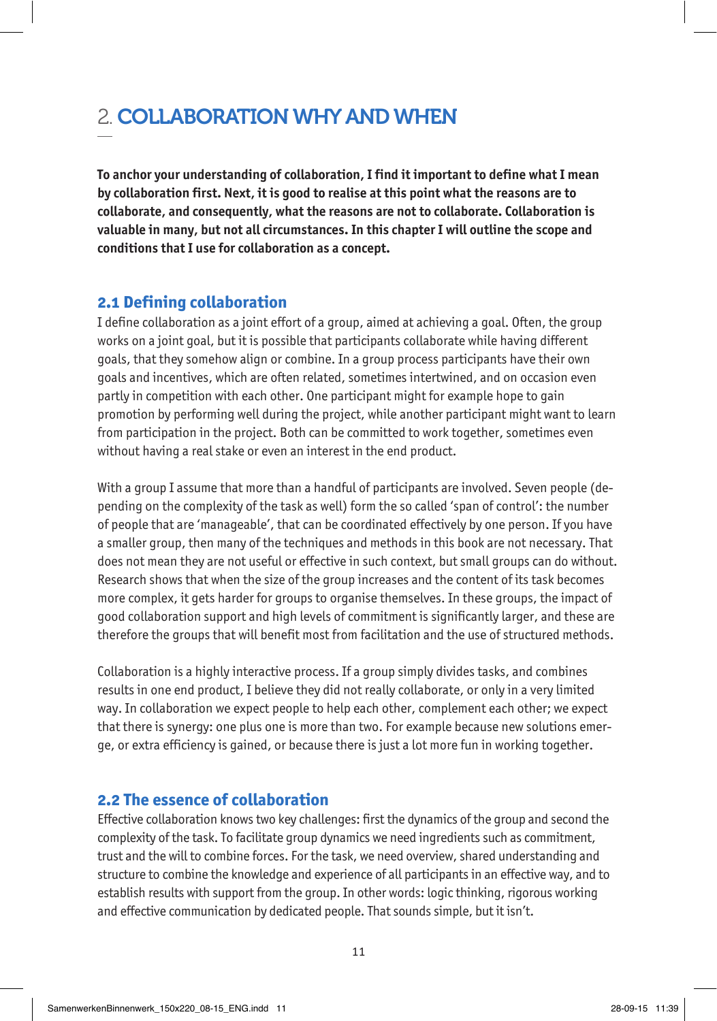# 2. COLLABORATION WHY AND WHEN

**To anchor your understanding of collaboration, I find it important to define what I mean by collaboration first. Next, it is good to realise at this point what the reasons are to collaborate, and consequently, what the reasons are not to collaborate. Collaboration is valuable in many, but not all circumstances. In this chapter I will outline the scope and conditions that I use for collaboration as a concept.** 

### **2.1 Defining collaboration**

I define collaboration as a joint effort of a group, aimed at achieving a goal. Often, the group works on a joint goal, but it is possible that participants collaborate while having different goals, that they somehow align or combine. In a group process participants have their own goals and incentives, which are often related, sometimes intertwined, and on occasion even partly in competition with each other. One participant might for example hope to gain promotion by performing well during the project, while another participant might want to learn from participation in the project. Both can be committed to work together, sometimes even without having a real stake or even an interest in the end product.

With a group I assume that more than a handful of participants are involved. Seven people (depending on the complexity of the task as well) form the so called 'span of control': the number of people that are 'manageable', that can be coordinated effectively by one person. If you have a smaller group, then many of the techniques and methods in this book are not necessary. That does not mean they are not useful or effective in such context, but small groups can do without. Research shows that when the size of the group increases and the content of its task becomes more complex, it gets harder for groups to organise themselves. In these groups, the impact of good collaboration support and high levels of commitment is significantly larger, and these are therefore the groups that will benefit most from facilitation and the use of structured methods.

Collaboration is a highly interactive process. If a group simply divides tasks, and combines results in one end product, I believe they did not really collaborate, or only in a very limited way. In collaboration we expect people to help each other, complement each other; we expect that there is synergy: one plus one is more than two. For example because new solutions emerge, or extra efficiency is gained, or because there is just a lot more fun in working together.

## **2.2 The essence of collaboration**

Effective collaboration knows two key challenges: first the dynamics of the group and second the complexity of the task. To facilitate group dynamics we need ingredients such as commitment, trust and the will to combine forces. For the task, we need overview, shared understanding and structure to combine the knowledge and experience of all participants in an effective way, and to establish results with support from the group. In other words: logic thinking, rigorous working and effective communication by dedicated people. That sounds simple, but it isn't.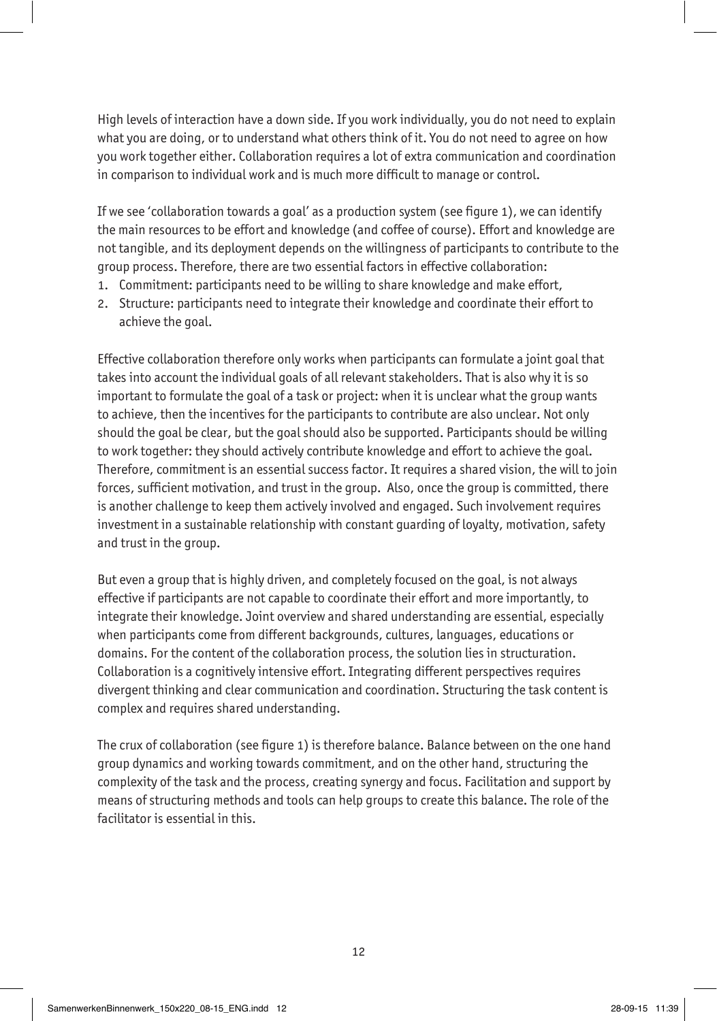High levels of interaction have a down side. If you work individually, you do not need to explain what you are doing, or to understand what others think of it. You do not need to agree on how you work together either. Collaboration requires a lot of extra communication and coordination in comparison to individual work and is much more difficult to manage or control.

If we see 'collaboration towards a goal' as a production system (see figure 1), we can identify the main resources to be effort and knowledge (and coffee of course). Effort and knowledge are not tangible, and its deployment depends on the willingness of participants to contribute to the group process. Therefore, there are two essential factors in effective collaboration:

- 1. Commitment: participants need to be willing to share knowledge and make effort,
- 2. Structure: participants need to integrate their knowledge and coordinate their effort to achieve the goal.

Effective collaboration therefore only works when participants can formulate a joint goal that takes into account the individual goals of all relevant stakeholders. That is also why it is so important to formulate the goal of a task or project: when it is unclear what the group wants to achieve, then the incentives for the participants to contribute are also unclear. Not only should the goal be clear, but the goal should also be supported. Participants should be willing to work together: they should actively contribute knowledge and effort to achieve the goal. Therefore, commitment is an essential success factor. It requires a shared vision, the will to join forces, sufficient motivation, and trust in the group. Also, once the group is committed, there is another challenge to keep them actively involved and engaged. Such involvement requires investment in a sustainable relationship with constant guarding of loyalty, motivation, safety and trust in the group.

But even a group that is highly driven, and completely focused on the goal, is not always effective if participants are not capable to coordinate their effort and more importantly, to integrate their knowledge. Joint overview and shared understanding are essential, especially when participants come from different backgrounds, cultures, languages, educations or domains. For the content of the collaboration process, the solution lies in structuration. Collaboration is a cognitively intensive effort. Integrating different perspectives requires divergent thinking and clear communication and coordination. Structuring the task content is complex and requires shared understanding.

The crux of collaboration (see figure 1) is therefore balance. Balance between on the one hand group dynamics and working towards commitment, and on the other hand, structuring the complexity of the task and the process, creating synergy and focus. Facilitation and support by means of structuring methods and tools can help groups to create this balance. The role of the facilitator is essential in this.